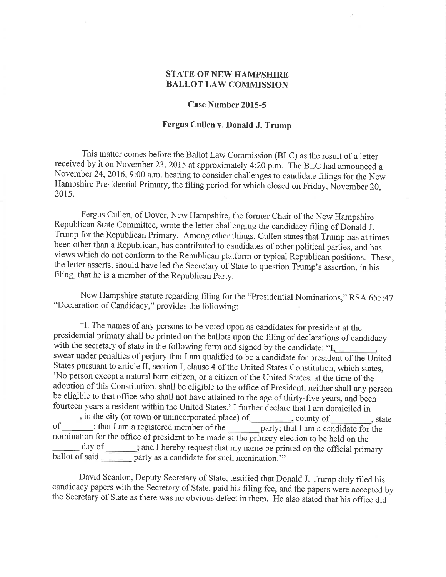## **STATE OF NEW HAMPSHIRE** BALLOT LAW COMMISSION

## Case Number 2015-5

## Fergus Cullen v. Donald J. Trump

This matter comes before the Ballot Law Commission (BLC) as the result of a letter received by it on November 23,2015 at approximately 4:20 p.m. The BLC had announced <sup>a</sup> November 24, 2016, 9:00 a.m. hearing to consider challenges to candidate filings for the New Hampshire Presidential Primary, the filing period for which closed on Friday, November 20, 2015.

Fergus Cullen, of Dover, New Hampshire, the former Chair of the New Hampshire Republican State Committee, wrote the letter challenging the candidacy filing of Donald J. Trump for the Republican Primary. Among other things, Cullen states that Trump has at times been other than a Republican, has contributed to candidates of other political parties, and has views which do not conform to the Republican platform or typical Rèpublican positions. These, the letter asserts, should have led the Secretary of State to quéstion Trump's assertion, in his filing, that he is a member of the Republican party.

New Hampshire statute regarding filing for the "Presidential Nominations," RSA 655:47 "Declaration of Candidacy," provides the following:

"I. The names of any persons to be voted upon as candidates for president at the presidential primary shall be printed on the ballots upon the filing of declarations of candidacy with the secretary of state in the following form and signed by the candidate: "I, swear under penalties of perjury that I am qualified to be a candidate for president of the United States pursuant to article II, section I, clause 4 of the United States Constitution, which states, 'No person except a natural born citizen, or a citizen of the United States, at the time of the adoption of this Constitution, shall be eligible to the office of President; neither shall any person be eligible to that office who shall not have attained to the age of thirty-five years, and been fourteen years a resident within the United States.' I further declare that I am domiciled in  $\ldots$ , in the city (or town or unincorporated place) of state state state state nomination for the office of president to be made at the primary election to be held on the day of of ithat I am a registered member of the party; that I am a candidate for the day of \_\_\_\_\_\_; and I hereby request that my name be printed on the official primary ballot of said party as a candidate for such nomination."

David Scanlon, Deputy Secretary of State, testified that Donald J. Trump duly filed his candidacy papers with the Secretary of State, paid his filing fee, and the papers were accepted by the Secretary of State as there was no obvious defect in them. He also stated that his office did